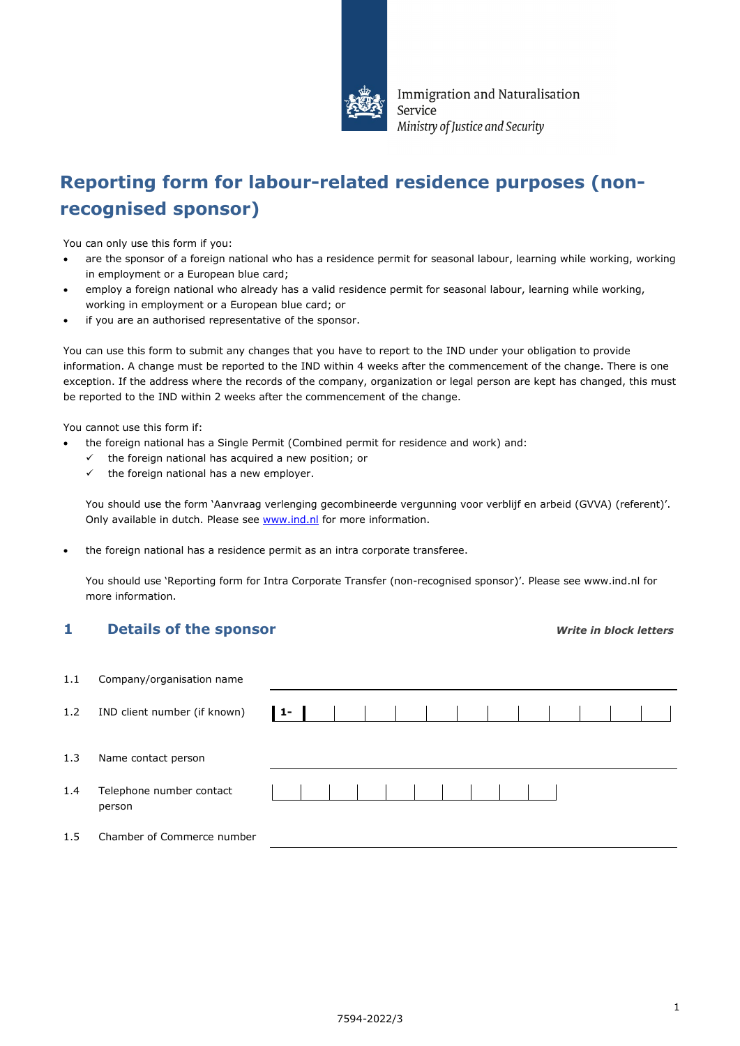

Immigration and Naturalisation Service Ministry of Justice and Security

# **Reporting form for labour-related residence purposes (nonrecognised sponsor)**

You can only use this form if you:

- are the sponsor of a foreign national who has a residence permit for seasonal labour, learning while working, working in employment or a European blue card;
- employ a foreign national who already has a valid residence permit for seasonal labour, learning while working, working in employment or a European blue card; or
- if you are an authorised representative of the sponsor.

You can use this form to submit any changes that you have to report to the IND under your obligation to provide information. A change must be reported to the IND within 4 weeks after the commencement of the change. There is one exception. If the address where the records of the company, organization or legal person are kept has changed, this must be reported to the IND within 2 weeks after the commencement of the change.

You cannot use this form if:

- the foreign national has a Single Permit (Combined permit for residence and work) and:
	- $\checkmark$  the foreign national has acquired a new position; or
	- $\checkmark$  the foreign national has a new employer.

You should use the form 'Aanvraag verlenging gecombineerde vergunning voor verblijf en arbeid (GVVA) (referent)'. Only available in dutch. Please see [www.ind.nl](http://www.ind.nl/) for more information.

• the foreign national has a residence permit as an intra corporate transferee.

You should use 'Reporting form for Intra Corporate Transfer (non-recognised sponsor)'. Please see www.ind.nl for more information.

### **1 Details of the sponsor** *Write in block letters*

| 1.1 | Company/organisation name          |    |  |  |  |  |  |  |  |
|-----|------------------------------------|----|--|--|--|--|--|--|--|
| 1.2 | IND client number (if known)       | 1- |  |  |  |  |  |  |  |
| 1.3 | Name contact person                |    |  |  |  |  |  |  |  |
| 1.4 | Telephone number contact<br>person |    |  |  |  |  |  |  |  |
| 1.5 | Chamber of Commerce number         |    |  |  |  |  |  |  |  |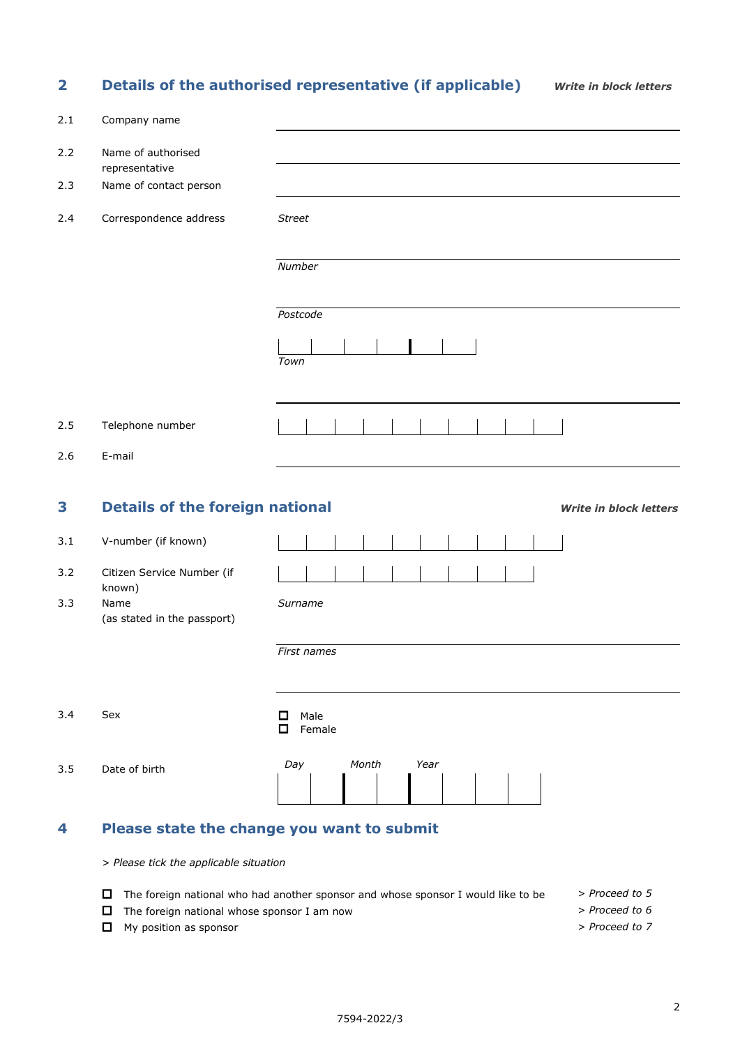## **2 Details of the authorised representative (if applicable)** *Write in block letters*

| 2.1 | Company name                                  |                                            |  |  |  |  |  |  |  |  |  |
|-----|-----------------------------------------------|--------------------------------------------|--|--|--|--|--|--|--|--|--|
| 2.2 | Name of authorised<br>representative          |                                            |  |  |  |  |  |  |  |  |  |
| 2.3 | Name of contact person                        |                                            |  |  |  |  |  |  |  |  |  |
| 2.4 | Correspondence address                        | <b>Street</b>                              |  |  |  |  |  |  |  |  |  |
|     |                                               | Number                                     |  |  |  |  |  |  |  |  |  |
|     |                                               | Postcode                                   |  |  |  |  |  |  |  |  |  |
|     |                                               | Town                                       |  |  |  |  |  |  |  |  |  |
|     |                                               |                                            |  |  |  |  |  |  |  |  |  |
| 2.5 | Telephone number                              |                                            |  |  |  |  |  |  |  |  |  |
| 2.6 | E-mail                                        |                                            |  |  |  |  |  |  |  |  |  |
| 3   | <b>Details of the foreign national</b>        | <b>Write in block letters</b>              |  |  |  |  |  |  |  |  |  |
| 3.1 | V-number (if known)                           |                                            |  |  |  |  |  |  |  |  |  |
| 3.2 | Citizen Service Number (if                    |                                            |  |  |  |  |  |  |  |  |  |
| 3.3 | known)<br>Name<br>(as stated in the passport) | Surname                                    |  |  |  |  |  |  |  |  |  |
|     |                                               | First names                                |  |  |  |  |  |  |  |  |  |
| 3.4 | Sex                                           | Male<br>□<br>$\Box$<br>Female              |  |  |  |  |  |  |  |  |  |
| 3.5 | Date of birth                                 | Year<br>Day<br>Month                       |  |  |  |  |  |  |  |  |  |
| 4   |                                               | Please state the change you want to submit |  |  |  |  |  |  |  |  |  |

*> Please tick the applicable situation*

- The foreign national who had another sponsor and whose sponsor I would like to be *> Proceed to 5*
- The foreign national whose sponsor I am now *> Proceed to 6*
	-
- My position as sponsor *> Proceed to 7*
-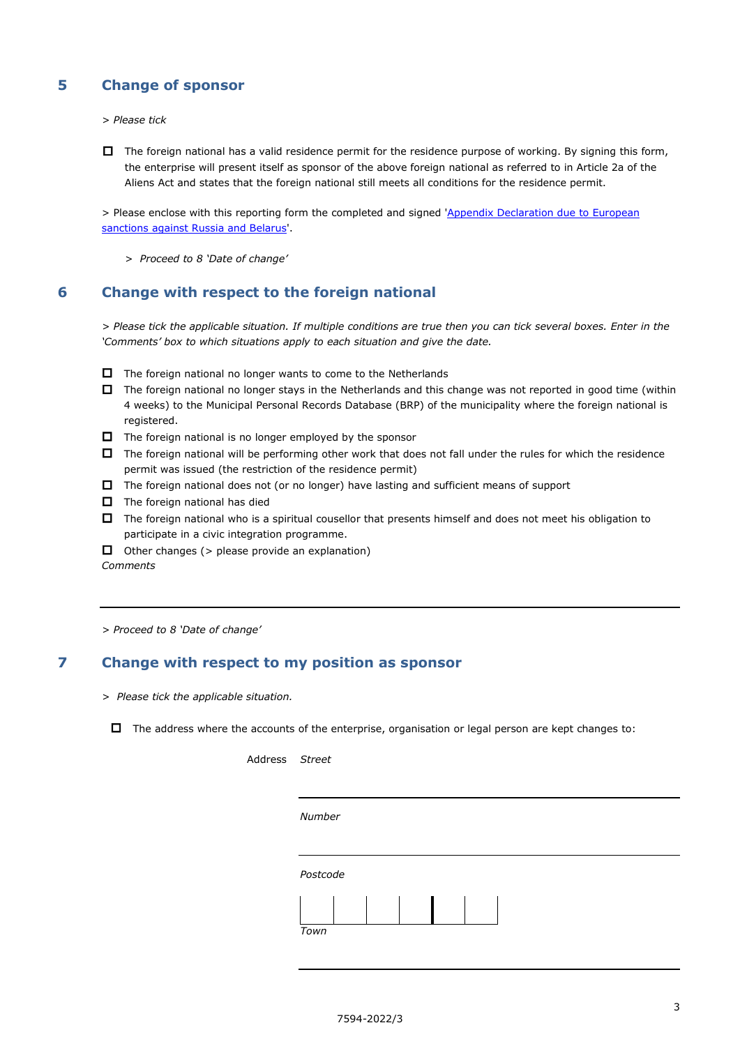## **5 Change of sponsor**

*> Please tick*

 $\Box$  The foreign national has a valid residence permit for the residence purpose of working. By signing this form, the enterprise will present itself as sponsor of the above foreign national as referred to in Article 2a of the Aliens Act and states that the foreign national still meets all conditions for the residence permit.

> Please enclose with this reporting form the completed and signed ['Appendix Declaration due to European](https://ind.nl/en/forms/7675.pdf)  [sanctions against Russia and Belarus'.](https://ind.nl/en/forms/7675.pdf)

*> Proceed to 8 'Date of change'*

### **6 Change with respect to the foreign national**

*> Please tick the applicable situation. If multiple conditions are true then you can tick several boxes. Enter in the 'Comments' box to which situations apply to each situation and give the date.*

- $\Box$  The foreign national no longer wants to come to the Netherlands
- $\Box$  The foreign national no longer stays in the Netherlands and this change was not reported in good time (within 4 weeks) to the Municipal Personal Records Database (BRP) of the municipality where the foreign national is registered.
- $\Box$  The foreign national is no longer employed by the sponsor
- $\Box$  The foreign national will be performing other work that does not fall under the rules for which the residence permit was issued (the restriction of the residence permit)
- $\Box$  The foreign national does not (or no longer) have lasting and sufficient means of support
- $\Box$  The foreign national has died
- $\Box$  The foreign national who is a spiritual cousellor that presents himself and does not meet his obligation to participate in a civic integration programme.
- $\Box$  Other changes (> please provide an explanation) *Comments*

*> Proceed to 8 'Date of change'*

#### **7 Change with respect to my position as sponsor**

*> Please tick the applicable situation.*

 $\Box$  The address where the accounts of the enterprise, organisation or legal person are kept changes to:

| Address Street |          |  |  |  |  |  |  |  |
|----------------|----------|--|--|--|--|--|--|--|
|                |          |  |  |  |  |  |  |  |
|                |          |  |  |  |  |  |  |  |
|                | Number   |  |  |  |  |  |  |  |
|                |          |  |  |  |  |  |  |  |
|                |          |  |  |  |  |  |  |  |
|                | Postcode |  |  |  |  |  |  |  |
|                |          |  |  |  |  |  |  |  |
|                |          |  |  |  |  |  |  |  |
|                | Town     |  |  |  |  |  |  |  |
|                |          |  |  |  |  |  |  |  |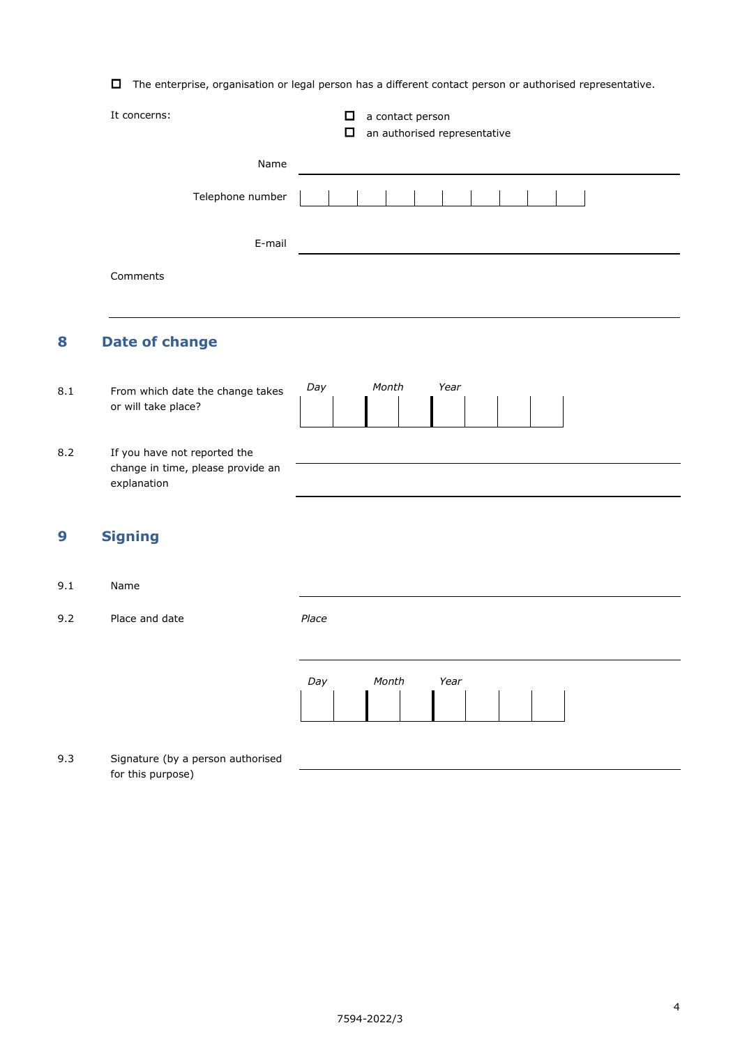$\Box$  The enterprise, organisation or legal person has a different contact person or authorised representative.

|     | It concerns:                                                                     |     | □<br>□ | a contact person<br>an authorised representative |  |  |  |
|-----|----------------------------------------------------------------------------------|-----|--------|--------------------------------------------------|--|--|--|
|     | Name                                                                             |     |        |                                                  |  |  |  |
|     | Telephone number                                                                 |     |        |                                                  |  |  |  |
|     | E-mail                                                                           |     |        |                                                  |  |  |  |
|     | Comments                                                                         |     |        |                                                  |  |  |  |
| 8   | <b>Date of change</b>                                                            |     |        |                                                  |  |  |  |
| 8.1 | From which date the change takes<br>or will take place?                          | Day |        | Month<br>Year                                    |  |  |  |
| 8.2 | If you have not reported the<br>change in time, please provide an<br>explanation |     |        |                                                  |  |  |  |

## **9 Signing**

- 9.1 Name
- 9.2 Place and date *Place*



9.3 Signature (by a person authorised for this purpose)